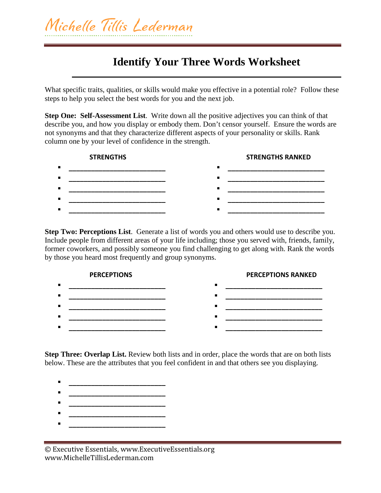## **Identify Your Three Words Worksheet**

What specific traits, qualities, or skills would make you effective in a potential role? Follow these steps to help you select the best words for you and the next job.

**Step One: Self-Assessment List**. Write down all the positive adjectives you can think of that describe you, and how you display or embody them. Don't censor yourself. Ensure the words are not synonyms and that they characterize different aspects of your personality or skills. Rank column one by your level of confidence in the strength.



**Step Two: Perceptions List**. Generate a list of words you and others would use to describe you. Include people from different areas of your life including; those you served with, friends, family, former coworkers, and possibly someone you find challenging to get along with. Rank the words by those you heard most frequently and group synonyms.



**Step Three: Overlap List.** Review both lists and in order, place the words that are on both lists below. These are the attributes that you feel confident in and that others see you displaying.

- **\_\_\_\_\_\_\_\_\_\_\_\_\_\_\_\_\_\_\_\_\_\_\_\_\_\_**
- **\_\_\_\_\_\_\_\_\_\_\_\_\_\_\_\_\_\_\_\_\_\_\_\_\_\_**
- **\_\_\_\_\_\_\_\_\_\_\_\_\_\_\_\_\_\_\_\_\_\_\_\_\_\_ \_\_\_\_\_\_\_\_\_\_\_\_\_\_\_\_\_\_\_\_\_\_\_\_\_\_**
- **\_\_\_\_\_\_\_\_\_\_\_\_\_\_\_\_\_\_\_\_\_\_\_\_\_\_**

<sup>©</sup> Executive Essentials, www.ExecutiveEssentials.org www.MichelleTillisLederman.com